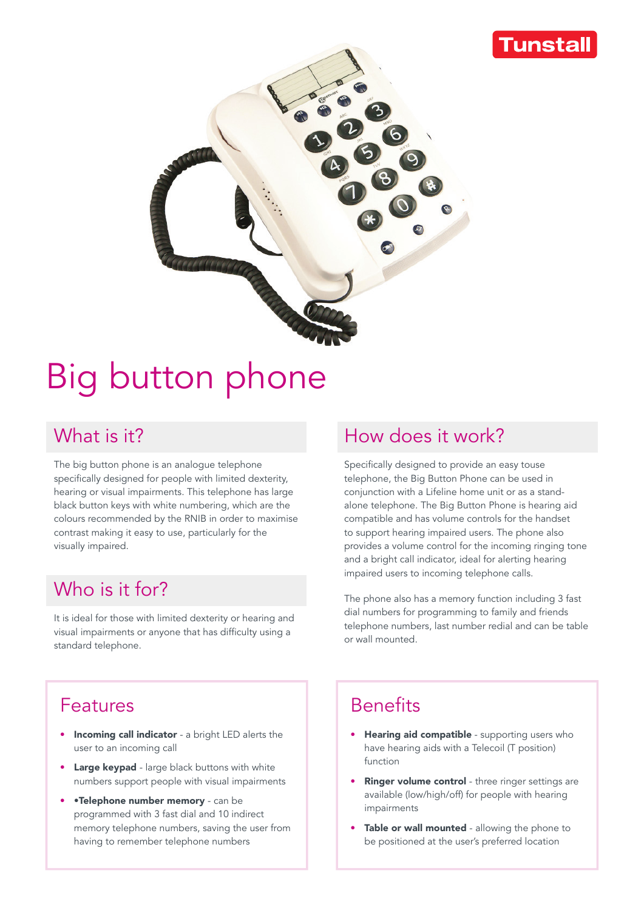### **unstal**



# Big button phone

#### What is it?

The big button phone is an analogue telephone specifically designed for people with limited dexterity, hearing or visual impairments. This telephone has large black button keys with white numbering, which are the colours recommended by the RNIB in order to maximise contrast making it easy to use, particularly for the visually impaired.

#### Who is it for?

It is ideal for those with limited dexterity or hearing and visual impairments or anyone that has difficulty using a standard telephone.

## How does it work?

Specifically designed to provide an easy touse telephone, the Big Button Phone can be used in conjunction with a Lifeline home unit or as a standalone telephone. The Big Button Phone is hearing aid compatible and has volume controls for the handset to support hearing impaired users. The phone also provides a volume control for the incoming ringing tone and a bright call indicator, ideal for alerting hearing impaired users to incoming telephone calls.

The phone also has a memory function including 3 fast dial numbers for programming to family and friends telephone numbers, last number redial and can be table or wall mounted.

#### Features

- **Incoming call indicator** a bright LED alerts the user to an incoming call
- **Large keypad** large black buttons with white numbers support people with visual impairments
- •Telephone number memory can be programmed with 3 fast dial and 10 indirect memory telephone numbers, saving the user from having to remember telephone numbers

### **Benefits**

- Hearing aid compatible supporting users who have hearing aids with a Telecoil (T position) function
- Ringer volume control three ringer settings are available (low/high/off) for people with hearing impairments
- Table or wall mounted allowing the phone to be positioned at the user's preferred location